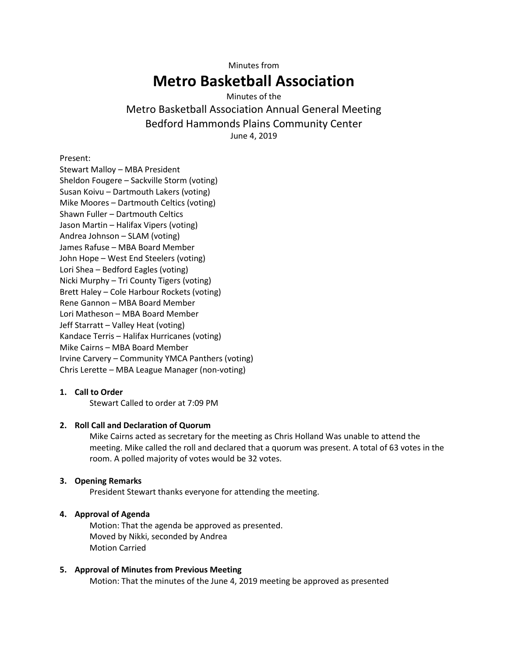Minutes from

# **Metro Basketball Association**

# Minutes of the

# Metro Basketball Association Annual General Meeting Bedford Hammonds Plains Community Center June 4, 2019

Present:

Stewart Malloy – MBA President Sheldon Fougere – Sackville Storm (voting) Susan Koivu – Dartmouth Lakers (voting) Mike Moores – Dartmouth Celtics (voting) Shawn Fuller – Dartmouth Celtics Jason Martin – Halifax Vipers (voting) Andrea Johnson – SLAM (voting) James Rafuse – MBA Board Member John Hope – West End Steelers (voting) Lori Shea – Bedford Eagles (voting) Nicki Murphy – Tri County Tigers (voting) Brett Haley – Cole Harbour Rockets (voting) Rene Gannon – MBA Board Member Lori Matheson – MBA Board Member Jeff Starratt – Valley Heat (voting) Kandace Terris – Halifax Hurricanes (voting) Mike Cairns – MBA Board Member Irvine Carvery – Community YMCA Panthers (voting) Chris Lerette – MBA League Manager (non-voting)

# **1. Call to Order**

Stewart Called to order at 7:09 PM

# **2. Roll Call and Declaration of Quorum**

Mike Cairns acted as secretary for the meeting as Chris Holland Was unable to attend the meeting. Mike called the roll and declared that a quorum was present. A total of 63 votes in the room. A polled majority of votes would be 32 votes.

# **3. Opening Remarks**

President Stewart thanks everyone for attending the meeting.

# **4. Approval of Agenda**

Motion: That the agenda be approved as presented. Moved by Nikki, seconded by Andrea Motion Carried

# **5. Approval of Minutes from Previous Meeting**

Motion: That the minutes of the June 4, 2019 meeting be approved as presented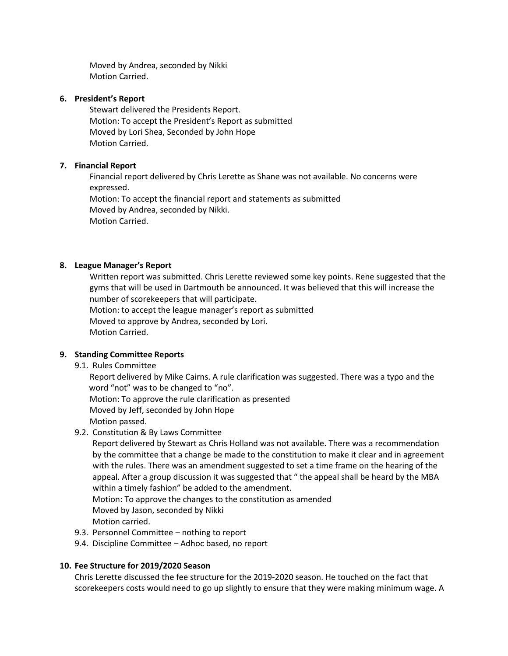Moved by Andrea, seconded by Nikki Motion Carried.

#### **6. President's Report**

Stewart delivered the Presidents Report. Motion: To accept the President's Report as submitted Moved by Lori Shea, Seconded by John Hope Motion Carried.

#### **7. Financial Report**

Financial report delivered by Chris Lerette as Shane was not available. No concerns were expressed. Motion: To accept the financial report and statements as submitted Moved by Andrea, seconded by Nikki. Motion Carried.

# **8. League Manager's Report**

Written report was submitted. Chris Lerette reviewed some key points. Rene suggested that the gyms that will be used in Dartmouth be announced. It was believed that this will increase the number of scorekeepers that will participate. Motion: to accept the league manager's report as submitted Moved to approve by Andrea, seconded by Lori. Motion Carried.

#### **9. Standing Committee Reports**

9.1. Rules Committee

Report delivered by Mike Cairns. A rule clarification was suggested. There was a typo and the word "not" was to be changed to "no". Motion: To approve the rule clarification as presented Moved by Jeff, seconded by John Hope

#### Motion passed.

9.2. Constitution & By Laws Committee

Report delivered by Stewart as Chris Holland was not available. There was a recommendation by the committee that a change be made to the constitution to make it clear and in agreement with the rules. There was an amendment suggested to set a time frame on the hearing of the appeal. After a group discussion it was suggested that " the appeal shall be heard by the MBA within a timely fashion" be added to the amendment.

Motion: To approve the changes to the constitution as amended Moved by Jason, seconded by Nikki Motion carried.

- 9.3. Personnel Committee nothing to report
- 9.4. Discipline Committee Adhoc based, no report

#### **10. Fee Structure for 2019/2020 Season**

Chris Lerette discussed the fee structure for the 2019-2020 season. He touched on the fact that scorekeepers costs would need to go up slightly to ensure that they were making minimum wage. A